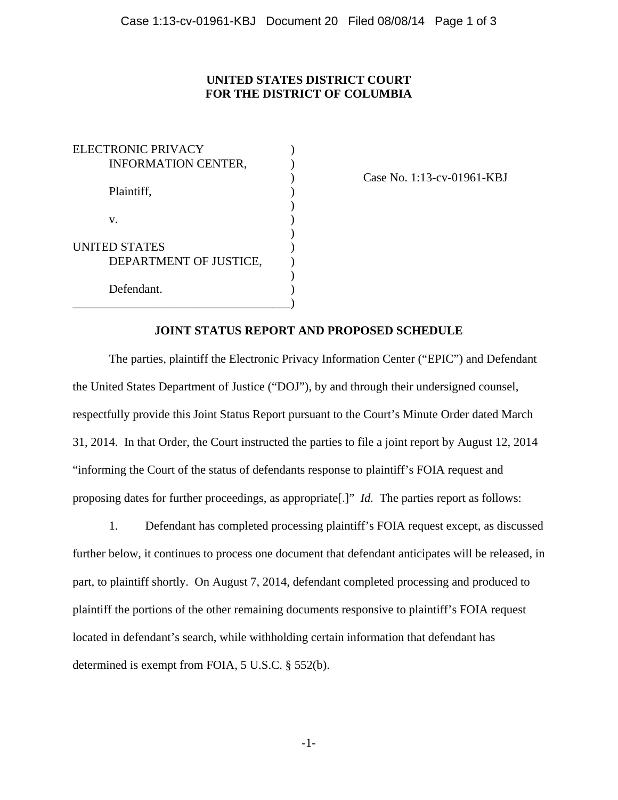## **UNITED STATES DISTRICT COURT FOR THE DISTRICT OF COLUMBIA**

ELECTRONIC PRIVACY (1997) INFORMATION CENTER, Plaintiff,  $\qquad \qquad$ ) )  $\mathbf{v}$ .  $)$ UNITED STATES ) DEPARTMENT OF JUSTICE, ) Defendant. \_\_\_\_\_\_\_\_\_\_\_\_\_\_\_\_\_\_\_\_\_\_\_\_\_\_\_\_\_\_\_\_\_\_\_\_)

) Case No. 1:13-cv-01961-KBJ

## **JOINT STATUS REPORT AND PROPOSED SCHEDULE**

The parties, plaintiff the Electronic Privacy Information Center ("EPIC") and Defendant the United States Department of Justice ("DOJ"), by and through their undersigned counsel, respectfully provide this Joint Status Report pursuant to the Court's Minute Order dated March 31, 2014. In that Order, the Court instructed the parties to file a joint report by August 12, 2014 "informing the Court of the status of defendants response to plaintiff's FOIA request and proposing dates for further proceedings, as appropriate[.]" *Id.* The parties report as follows:

1. Defendant has completed processing plaintiff's FOIA request except, as discussed further below, it continues to process one document that defendant anticipates will be released, in part, to plaintiff shortly. On August 7, 2014, defendant completed processing and produced to plaintiff the portions of the other remaining documents responsive to plaintiff's FOIA request located in defendant's search, while withholding certain information that defendant has determined is exempt from FOIA, 5 U.S.C. § 552(b).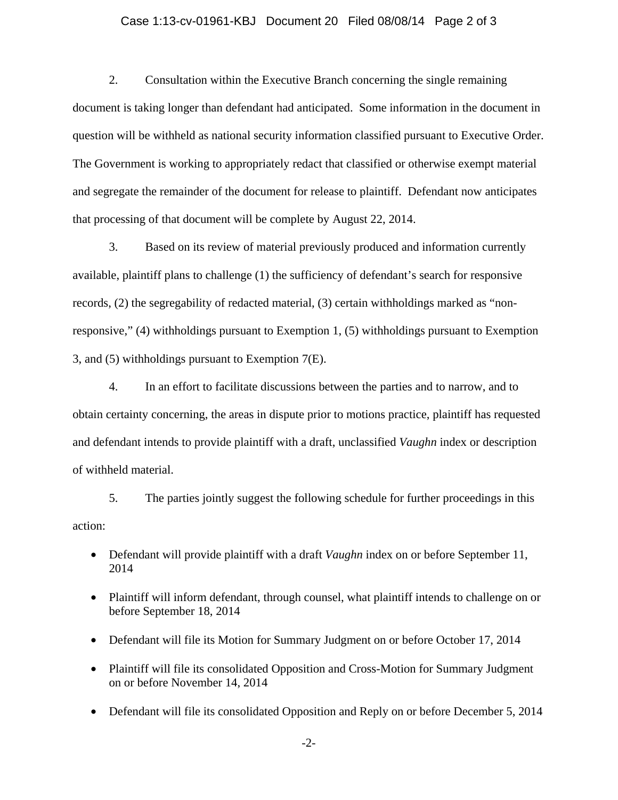## Case 1:13-cv-01961-KBJ Document 20 Filed 08/08/14 Page 2 of 3

2. Consultation within the Executive Branch concerning the single remaining document is taking longer than defendant had anticipated. Some information in the document in question will be withheld as national security information classified pursuant to Executive Order. The Government is working to appropriately redact that classified or otherwise exempt material and segregate the remainder of the document for release to plaintiff. Defendant now anticipates that processing of that document will be complete by August 22, 2014.

3. Based on its review of material previously produced and information currently available, plaintiff plans to challenge (1) the sufficiency of defendant's search for responsive records, (2) the segregability of redacted material, (3) certain withholdings marked as "nonresponsive," (4) withholdings pursuant to Exemption 1, (5) withholdings pursuant to Exemption 3, and (5) withholdings pursuant to Exemption 7(E).

4. In an effort to facilitate discussions between the parties and to narrow, and to obtain certainty concerning, the areas in dispute prior to motions practice, plaintiff has requested and defendant intends to provide plaintiff with a draft, unclassified *Vaughn* index or description of withheld material.

5. The parties jointly suggest the following schedule for further proceedings in this action:

- Defendant will provide plaintiff with a draft *Vaughn* index on or before September 11, 2014
- Plaintiff will inform defendant, through counsel, what plaintiff intends to challenge on or before September 18, 2014
- Defendant will file its Motion for Summary Judgment on or before October 17, 2014
- Plaintiff will file its consolidated Opposition and Cross-Motion for Summary Judgment on or before November 14, 2014
- Defendant will file its consolidated Opposition and Reply on or before December 5, 2014